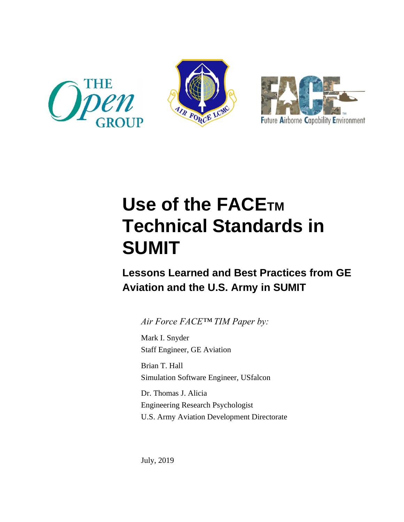





# **Use of the FACETM Technical Standards in SUMIT**

# **Lessons Learned and Best Practices from GE Aviation and the U.S. Army in SUMIT**

*Air Force FACE™ TIM Paper by:*

Mark I. Snyder Staff Engineer, GE Aviation

Brian T. Hall Simulation Software Engineer, USfalcon

Dr. Thomas J. Alicia Engineering Research Psychologist U.S. Army Aviation Development Directorate

July, 2019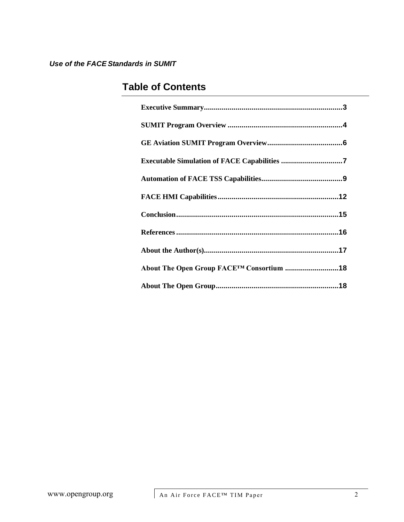# **Table of Contents**

| Executable Simulation of FACE Capabilities 7 |
|----------------------------------------------|
|                                              |
|                                              |
|                                              |
|                                              |
|                                              |
| About The Open Group FACETM Consortium 18    |
|                                              |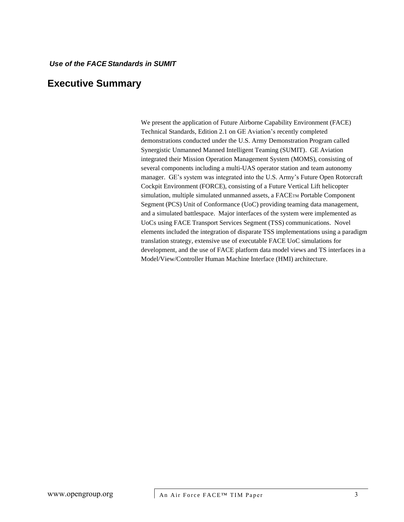### <span id="page-2-0"></span>**Executive Summary**

We present the application of Future Airborne Capability Environment (FACE) Technical Standards, Edition 2.1 on GE Aviation's recently completed demonstrations conducted under the U.S. Army Demonstration Program called Synergistic Unmanned Manned Intelligent Teaming (SUMIT). GE Aviation integrated their Mission Operation Management System (MOMS), consisting of several components including a multi-UAS operator station and team autonomy manager. GE's system was integrated into the U.S. Army's Future Open Rotorcraft Cockpit Environment (FORCE), consisting of a Future Vertical Lift helicopter simulation, multiple simulated unmanned assets, a FACETM Portable Component Segment (PCS) Unit of Conformance (UoC) providing teaming data management, and a simulated battlespace. Major interfaces of the system were implemented as UoCs using FACE Transport Services Segment (TSS) communications. Novel elements included the integration of disparate TSS implementations using a paradigm translation strategy, extensive use of executable FACE UoC simulations for development, and the use of FACE platform data model views and TS interfaces in a Model/View/Controller Human Machine Interface (HMI) architecture.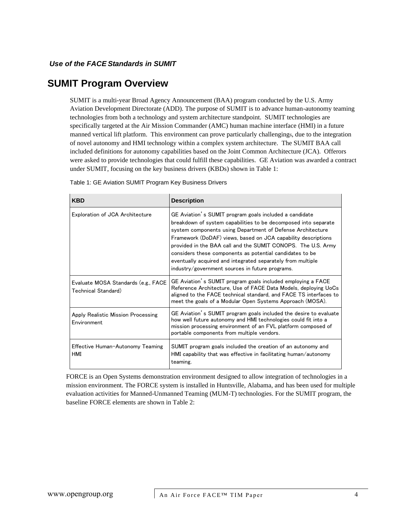### <span id="page-3-0"></span>**SUMIT Program Overview**

SUMIT is a multi-year Broad Agency Announcement (BAA) program conducted by the U.S. Army Aviation Development Directorate (ADD). The purpose of SUMIT is to advance human-autonomy teaming technologies from both a technology and system architecture standpoint. SUMIT technologies are specifically targeted at the Air Mission Commander (AMC) human machine interface (HMI) in a future manned vertical lift platform. This environment can prove particularly challengings, due to the integration of novel autonomy and HMI technology within a complex system architecture. The SUMIT BAA call included definitions for autonomy capabilities based on the Joint Common Architecture (JCA). Offerors were asked to provide technologies that could fulfill these capabilities. GE Aviation was awarded a contract under SUMIT, focusing on the key business drivers (KBDs) shown in Table 1:

| <b>KBD</b>                                                 | <b>Description</b>                                                                                                                                                                                                                                                                                                                                                                                                                                                                                     |
|------------------------------------------------------------|--------------------------------------------------------------------------------------------------------------------------------------------------------------------------------------------------------------------------------------------------------------------------------------------------------------------------------------------------------------------------------------------------------------------------------------------------------------------------------------------------------|
| Exploration of JCA Architecture                            | GE Aviation's SUMIT program goals included a candidate<br>breakdown of system capabilities to be decomposed into separate<br>system components using Department of Defense Architecture<br>Framework (DoDAF) views, based on JCA capability descriptions<br>provided in the BAA call and the SUMIT CONOPS. The U.S. Army<br>considers these components as potential candidates to be<br>eventually acquired and integrated separately from multiple<br>industry/government sources in future programs. |
| Evaluate MOSA Standards (e.g., FACE<br>Technical Standard) | GE Aviation's SUMIT program goals included employing a FACE<br>Reference Architecture, Use of FACE Data Models, deploying UoCs<br>aligned to the FACE technical standard, and FACE TS interfaces to<br>meet the goals of a Modular Open Systems Approach (MOSA).                                                                                                                                                                                                                                       |
| Apply Realistic Mission Processing<br>Environment          | GE Aviation's SUMIT program goals included the desire to evaluate<br>how well future autonomy and HMI technologies could fit into a<br>mission processing environment of an FVL platform composed of<br>portable components from multiple vendors.                                                                                                                                                                                                                                                     |
| Effective Human-Autonomy Teaming<br>HMI                    | SUMIT program goals included the creation of an autonomy and<br>HMI capability that was effective in facilitating human/autonomy<br>teaming.                                                                                                                                                                                                                                                                                                                                                           |

Table 1: GE Aviation SUMIT Program Key Business Drivers

FORCE is an Open Systems demonstration environment designed to allow integration of technologies in a mission environment. The FORCE system is installed in Huntsville, Alabama, and has been used for multiple evaluation activities for Manned-Unmanned Teaming (MUM-T) technologies. For the SUMIT program, the baseline FORCE elements are shown in Table 2: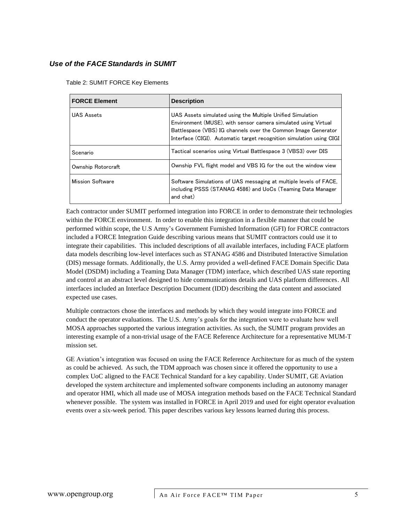Table 2: SUMIT FORCE Key Elements

| <b>FORCE Element</b>    | <b>Description</b>                                                                                                                                                                                                                                                    |
|-------------------------|-----------------------------------------------------------------------------------------------------------------------------------------------------------------------------------------------------------------------------------------------------------------------|
| UAS Assets              | UAS Assets simulated using the Multiple Unified Simulation<br>Environment (MUSE), with sensor camera simulated using Virtual<br>Battlespace (VBS) IG channels over the Common Image Generator<br>Interface (CIGI). Automatic target recognition simulation using CIGI |
| Scenario                | Tactical scenarios using Virtual Battlespace 3 (VBS3) over DIS                                                                                                                                                                                                        |
| Ownship Rotorcraft      | Ownship FVL flight model and VBS IG for the out the window view                                                                                                                                                                                                       |
| <b>Mission Software</b> | Software Simulations of UAS messaging at multiple levels of FACE.<br>including PSSS (STANAG 4586) and UoCs (Teaming Data Manager<br>and chat)                                                                                                                         |

Each contractor under SUMIT performed integration into FORCE in order to demonstrate their technologies within the FORCE environment. In order to enable this integration in a flexible manner that could be performed within scope, the U.S Army's Government Furnished Information (GFI) for FORCE contractors included a FORCE Integration Guide describing various means that SUMIT contractors could use it to integrate their capabilities. This included descriptions of all available interfaces, including FACE platform data models describing low-level interfaces such as STANAG 4586 and Distributed Interactive Simulation (DIS) message formats. Additionally, the U.S. Army provided a well-defined FACE Domain Specific Data Model (DSDM) including a Teaming Data Manager (TDM) interface, which described UAS state reporting and control at an abstract level designed to hide communications details and UAS platform differences. All interfaces included an Interface Description Document (IDD) describing the data content and associated expected use cases.

Multiple contractors chose the interfaces and methods by which they would integrate into FORCE and conduct the operator evaluations. The U.S. Army's goals for the integration were to evaluate how well MOSA approaches supported the various integration activities. As such, the SUMIT program provides an interesting example of a non-trivial usage of the FACE Reference Architecture for a representative MUM-T mission set.

GE Aviation's integration was focused on using the FACE Reference Architecture for as much of the system as could be achieved. As such, the TDM approach was chosen since it offered the opportunity to use a complex UoC aligned to the FACE Technical Standard for a key capability. Under SUMIT, GE Aviation developed the system architecture and implemented software components including an autonomy manager and operator HMI, which all made use of MOSA integration methods based on the FACE Technical Standard whenever possible. The system was installed in FORCE in April 2019 and used for eight operator evaluation events over a six-week period. This paper describes various key lessons learned during this process.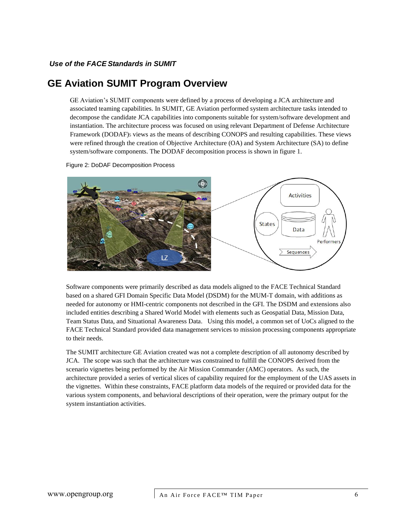### <span id="page-5-0"></span>**GE Aviation SUMIT Program Overview**

GE Aviation's SUMIT components were defined by a process of developing a JCA architecture and associated teaming capabilities. In SUMIT, GE Aviation performed system architecture tasks intended to decompose the candidate JCA capabilities into components suitable for system/software development and instantiation. The architecture process was focused on using relevant Department of Defense Architecture Framework (DODAF)<sup>5</sup> views as the means of describing CONOPS and resulting capabilities. These views were refined through the creation of Objective Architecture (OA) and System Architecture (SA) to define system/software components. The DODAF decomposition process is shown in figure 1.

Figure 2: DoDAF Decomposition Process



Software components were primarily described as data models aligned to the FACE Technical Standard based on a shared GFI Domain Specific Data Model (DSDM) for the MUM-T domain, with additions as needed for autonomy or HMI-centric components not described in the GFI. The DSDM and extensions also included entities describing a Shared World Model with elements such as Geospatial Data, Mission Data, Team Status Data, and Situational Awareness Data. Using this model, a common set of UoCs aligned to the FACE Technical Standard provided data management services to mission processing components appropriate to their needs.

The SUMIT architecture GE Aviation created was not a complete description of all autonomy described by JCA. The scope was such that the architecture was constrained to fulfill the CONOPS derived from the scenario vignettes being performed by the Air Mission Commander (AMC) operators. As such, the architecture provided a series of vertical slices of capability required for the employment of the UAS assets in the vignettes. Within these constraints, FACE platform data models of the required or provided data for the various system components, and behavioral descriptions of their operation, were the primary output for the system instantiation activities.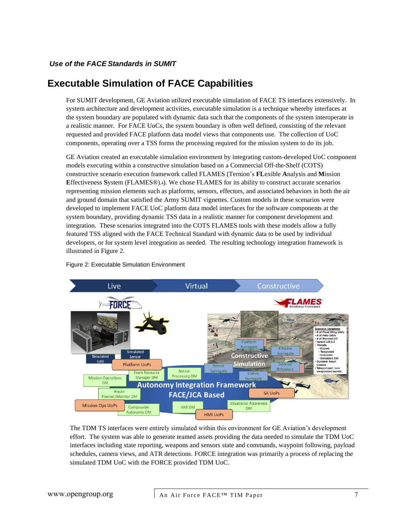### <span id="page-6-0"></span>**Executable Simulation of FACE Capabilities**

For SUMIT development, GE Aviation utilized executable simulation of FACE TS interfaces extensively. In system architecture and development activities, executable simulation is a technique whereby interfaces at the system boundary are populated with dynamic data such that the components of the system interoperate in a realistic manner. For FACE UoCs, the system boundary is often well defined, consisting of the relevant requested and provided FACE platform data model views that components use. The collection of UoC components, operating over a TSS forms the processing required for the mission system to do its job.

GE Aviation created an executable simulation environment by integrating custom-developed UoC component models executing within a constructive simulation based on a Commercial Off-the-Shelf (COTS) constructive scenario execution framework called FLAMES (Ternion's **FL**exible **A**nalysis and **M**ission **E**ffectiveness **S**ystem (FLAMES®),4). We chose FLAMES for its ability to construct accurate scenarios representing mission elements such as platforms, sensors, effectors, and associated behaviors in both the air and ground domain that satisfied the Army SUMIT vignettes. Custom models in these scenarios were developed to implement FACE UoC platform data model interfaces for the software components at the system boundary, providing dynamic TSS data in a realistic manner for component development and integration. These scenarios integrated into the COTS FLAMES tools with these models allow a fully featured TSS aligned with the FACE Technical Standard with dynamic data to be used by individual developers, or for system level integration as needed. The resulting technology integration framework is illustrated in Figure 2.



Figure 2: Executable Simulation Environment

The TDM TS interfaces were entirely simulated within this environment for GE Aviation's development effort. The system was able to generate teamed assets providing the data needed to simulate the TDM UoC interfaces including state reporting, weapons and sensors state and commands, waypoint following, payload schedules, camera views, and ATR detections. FORCE integration was primarily a process of replacing the simulated TDM UoC with the FORCE provided TDM UoC.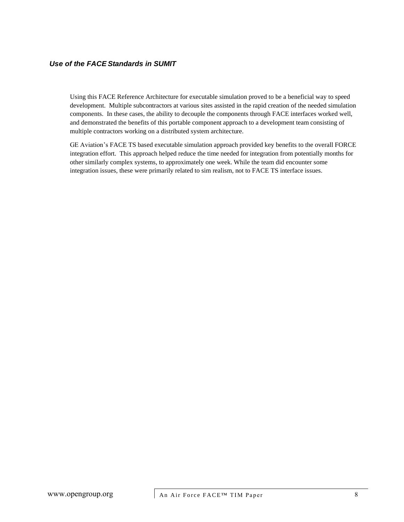Using this FACE Reference Architecture for executable simulation proved to be a beneficial way to speed development. Multiple subcontractors at various sites assisted in the rapid creation of the needed simulation components. In these cases, the ability to decouple the components through FACE interfaces worked well, and demonstrated the benefits of this portable component approach to a development team consisting of multiple contractors working on a distributed system architecture.

GE Aviation's FACE TS based executable simulation approach provided key benefits to the overall FORCE integration effort. This approach helped reduce the time needed for integration from potentially months for other similarly complex systems, to approximately one week. While the team did encounter some integration issues, these were primarily related to sim realism, not to FACE TS interface issues.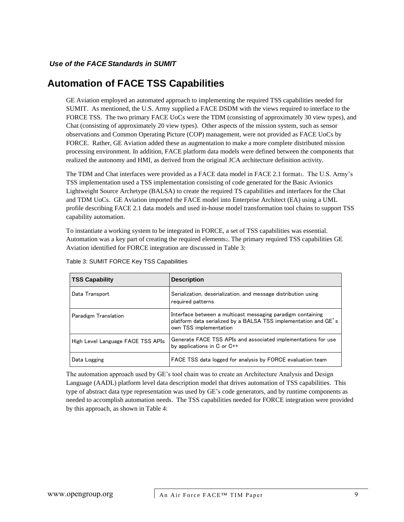### <span id="page-8-0"></span>**Automation of FACE TSS Capabilities**

GE Aviation employed an automated approach to implementing the required TSS capabilities needed for SUMIT. As mentioned, the U.S. Army supplied a FACE DSDM with the views required to interface to the FORCE TSS. The two primary FACE UoCs were the TDM (consisting of approximately 30 view types), and Chat (consisting of approximately 20 view types). Other aspects of the mission system, such as sensor observations and Common Operating Picture (COP) management, were not provided as FACE UoCs by FORCE. Rather, GE Aviation added these as augmentation to make a more complete distributed mission processing environment. In addition, FACE platform data models were defined between the components that realized the autonomy and HMI, as derived from the original JCA architecture definition activity.

The TDM and Chat interfaces were provided as a FACE data model in FACE 2.1 format1. The U.S. Army's TSS implementation used a TSS implementation consisting of code generated for the Basic Avionics Lightweight Source Archetype (BALSA) to create the required TS capabilities and interfaces for the Chat and TDM UoCs. GE Aviation imported the FACE model into Enterprise Architect (EA) using a UML profile describing FACE 2.1 data models and used in-house model transformation tool chains to support TSS capability automation.

To instantiate a working system to be integrated in FORCE, a set of TSS capabilities was essential. Automation was a key part of creating the required elements2. The primary required TSS capabilities GE Aviation identified for FORCE integration are discussed in Table 3:

| <b>TSS Capability</b>             | <b>Description</b>                                                                                                                                       |
|-----------------------------------|----------------------------------------------------------------------------------------------------------------------------------------------------------|
| Data Transport                    | Serialization, deserialization, and message distribution using<br>required patterns                                                                      |
| Paradigm Translation              | Interface between a multicast messaging paradigm containing<br>platform data serialized by a BALSA TSS implementation and GE's<br>own TSS implementation |
| High Level Language FACE TSS APIs | Generate FACE TSS APIs and associated implementations for use<br>by applications in C or C++                                                             |
| Data Logging                      | FACE TSS data logged for analysis by FORCE evaluation team                                                                                               |

Table 3: SUMIT FORCE Key TSS Capabilities

The automation approach used by GE's tool chain was to create an Architecture Analysis and Design Language (AADL) platform level data description model that drives automation of TSS capabilities. This type of abstract data type representation was used by GE's code generators, and by runtime components as needed to accomplish automation needs. The TSS capabilities needed for FORCE integration were provided by this approach, as shown in Table 4: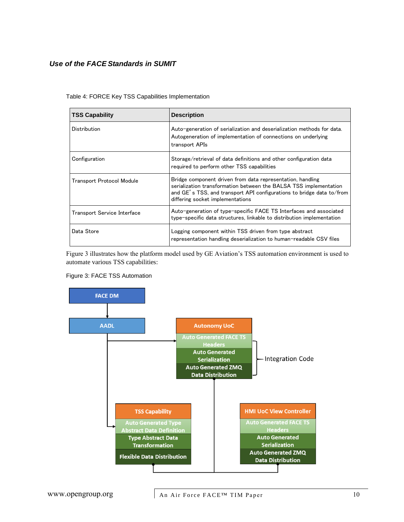| <b>TSS Capability</b>       | <b>Description</b>                                                                                                                                                                                                                           |
|-----------------------------|----------------------------------------------------------------------------------------------------------------------------------------------------------------------------------------------------------------------------------------------|
| Distribution                | Auto-generation of serialization and deserialization methods for data.<br>Autogeneration of implementation of connections on underlying<br>transport APIs                                                                                    |
| Configuration               | Storage/retrieval of data definitions and other configuration data<br>required to perform other TSS capabilities                                                                                                                             |
| Transport Protocol Module   | Bridge component driven from data representation, handling<br>serialization transformation between the BALSA TSS implementation<br>and GE's TSS, and transport API configurations to bridge data to/from<br>differing socket implementations |
| Transport Service Interface | Auto-generation of type-specific FACE TS Interfaces and associated<br>type-specific data structures, linkable to distribution implementation                                                                                                 |
| Data Store                  | Logging component within TSS driven from type abstract<br>representation handling deserialization to human-readable CSV files                                                                                                                |

Table 4: FORCE Key TSS Capabilities Implementation

Figure 3 illustrates how the platform model used by GE Aviation's TSS automation environment is used to automate various TSS capabilities:

#### Figure 3: FACE TSS Automation

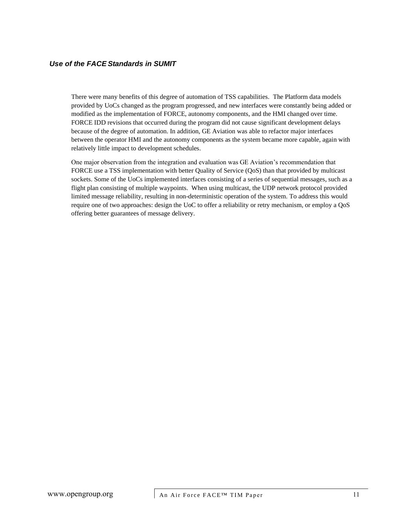There were many benefits of this degree of automation of TSS capabilities. The Platform data models provided by UoCs changed as the program progressed, and new interfaces were constantly being added or modified as the implementation of FORCE, autonomy components, and the HMI changed over time. FORCE IDD revisions that occurred during the program did not cause significant development delays because of the degree of automation. In addition, GE Aviation was able to refactor major interfaces between the operator HMI and the autonomy components as the system became more capable, again with relatively little impact to development schedules.

One major observation from the integration and evaluation was GE Aviation's recommendation that FORCE use a TSS implementation with better Quality of Service (QoS) than that provided by multicast sockets. Some of the UoCs implemented interfaces consisting of a series of sequential messages, such as a flight plan consisting of multiple waypoints. When using multicast, the UDP network protocol provided limited message reliability, resulting in non-deterministic operation of the system. To address this would require one of two approaches: design the UoC to offer a reliability or retry mechanism, or employ a QoS offering better guarantees of message delivery.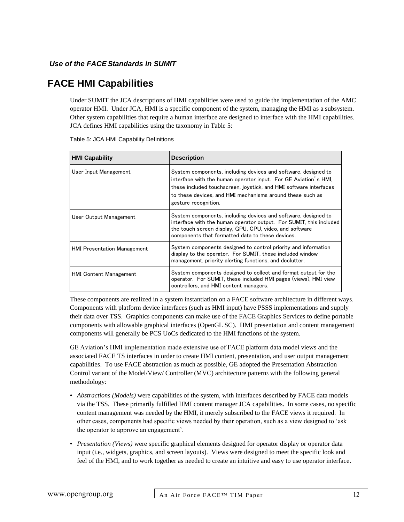## <span id="page-11-0"></span>**FACE HMI Capabilities**

Under SUMIT the JCA descriptions of HMI capabilities were used to guide the implementation of the AMC operator HMI. Under JCA, HMI is a specific component of the system, managing the HMI as a subsystem. Other system capabilities that require a human interface are designed to interface with the HMI capabilities. JCA defines HMI capabilities using the taxonomy in Table 5:

| <b>HMI Capability</b>              | <b>Description</b>                                                                                                                                                                                                                                                                          |
|------------------------------------|---------------------------------------------------------------------------------------------------------------------------------------------------------------------------------------------------------------------------------------------------------------------------------------------|
| User Input Management              | System components, including devices and software, designed to<br>interface with the human operator input. For GE Aviation's HMI,<br>these included touchscreen, joystick, and HMI software interfaces<br>to these devices, and HMI mechanisms around these such as<br>gesture recognition. |
| User Output Management             | System components, including devices and software, designed to<br>interface with the human operator output. For SUMIT, this included<br>the touch screen display, GPU, CPU, video, and software<br>components that formatted data to these devices.                                         |
| <b>HMI Presentation Management</b> | System components designed to control priority and information<br>display to the operator. For SUMIT, these included window<br>management, priority alerting functions, and declutter.                                                                                                      |
| <b>HMI Content Management</b>      | System components designed to collect and format output for the<br>operator. For SUMIT, these included HMI pages (views), HMI view<br>controllers, and HMI content managers.                                                                                                                |

| Table 5: JCA HMI Capability Definitions |
|-----------------------------------------|
|-----------------------------------------|

These components are realized in a system instantiation on a FACE software architecture in different ways. Components with platform device interfaces (such as HMI input) have PSSS implementations and supply their data over TSS. Graphics components can make use of the FACE Graphics Services to define portable components with allowable graphical interfaces (OpenGL SC). HMI presentation and content management components will generally be PCS UoCs dedicated to the HMI functions of the system.

GE Aviation's HMI implementation made extensive use of FACE platform data model views and the associated FACE TS interfaces in order to create HMI content, presentation, and user output management capabilities. To use FACE abstraction as much as possible, GE adopted the Presentation Abstraction Control variant of the Model/View/ Controller (MVC) architecture pattern<sub>3</sub> with the following general methodology:

- *Abstractions (Models)* were capabilities of the system, with interfaces described by FACE data models via the TSS. These primarily fulfilled HMI content manager JCA capabilities. In some cases, no specific content management was needed by the HMI, it merely subscribed to the FACE views it required. In other cases, components had specific views needed by their operation, such as a view designed to 'ask the operator to approve an engagement'.
- *Presentation (Views)* were specific graphical elements designed for operator display or operator data input (i.e., widgets, graphics, and screen layouts). Views were designed to meet the specific look and feel of the HMI, and to work together as needed to create an intuitive and easy to use operator interface.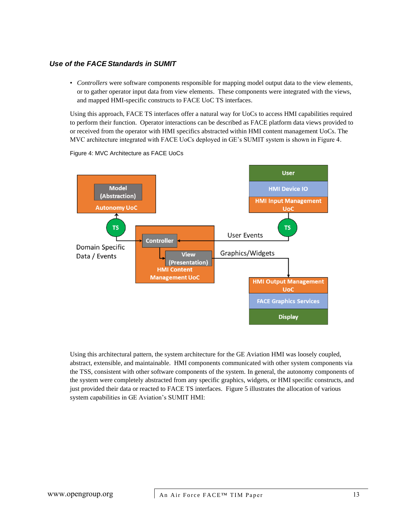• *Controllers* were software components responsible for mapping model output data to the view elements, or to gather operator input data from view elements. These components were integrated with the views, and mapped HMI-specific constructs to FACE UoC TS interfaces.

Using this approach, FACE TS interfaces offer a natural way for UoCs to access HMI capabilities required to perform their function. Operator interactions can be described as FACE platform data views provided to or received from the operator with HMI specifics abstracted within HMI content management UoCs. The MVC architecture integrated with FACE UoCs deployed in GE's SUMIT system is shown in Figure 4.



Figure 4: MVC Architecture as FACE UoCs

Using this architectural pattern, the system architecture for the GE Aviation HMI was loosely coupled, abstract, extensible, and maintainable. HMI components communicated with other system components via the TSS, consistent with other software components of the system. In general, the autonomy components of the system were completely abstracted from any specific graphics, widgets, or HMI specific constructs, and just provided their data or reacted to FACE TS interfaces. Figure 5 illustrates the allocation of various system capabilities in GE Aviation's SUMIT HMI: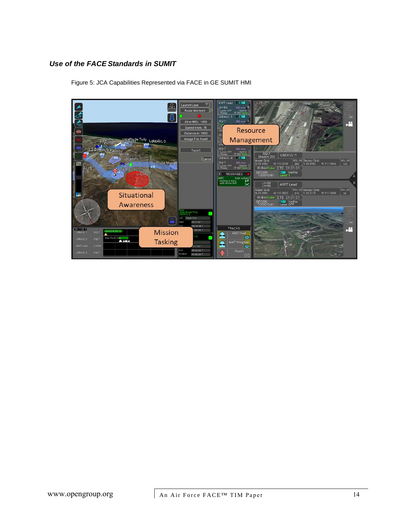

Figure 5: JCA Capabilities Represented via FACE in GE SUMIT HMI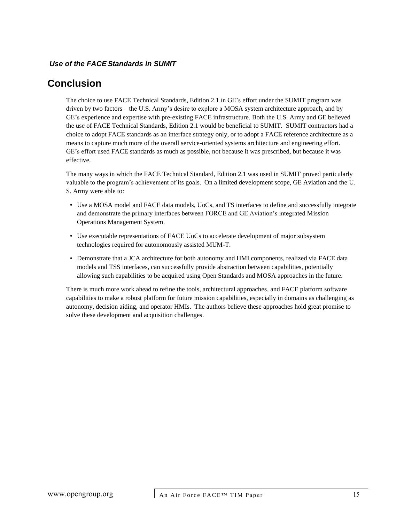# <span id="page-14-0"></span>**Conclusion**

The choice to use FACE Technical Standards, Edition 2.1 in GE's effort under the SUMIT program was driven by two factors – the U.S. Army's desire to explore a MOSA system architecture approach, and by GE's experience and expertise with pre-existing FACE infrastructure. Both the U.S. Army and GE believed the use of FACE Technical Standards, Edition 2.1 would be beneficial to SUMIT. SUMIT contractors had a choice to adopt FACE standards as an interface strategy only, or to adopt a FACE reference architecture as a means to capture much more of the overall service-oriented systems architecture and engineering effort. GE's effort used FACE standards as much as possible, not because it was prescribed, but because it was effective.

The many ways in which the FACE Technical Standard, Edition 2.1 was used in SUMIT proved particularly valuable to the program's achievement of its goals. On a limited development scope, GE Aviation and the U. S. Army were able to:

- Use a MOSA model and FACE data models, UoCs, and TS interfaces to define and successfully integrate and demonstrate the primary interfaces between FORCE and GE Aviation's integrated Mission Operations Management System.
- Use executable representations of FACE UoCs to accelerate development of major subsystem technologies required for autonomously assisted MUM-T.
- Demonstrate that a JCA architecture for both autonomy and HMI components, realized via FACE data models and TSS interfaces, can successfully provide abstraction between capabilities, potentially allowing such capabilities to be acquired using Open Standards and MOSA approaches in the future.

There is much more work ahead to refine the tools, architectural approaches, and FACE platform software capabilities to make a robust platform for future mission capabilities, especially in domains as challenging as autonomy, decision aiding, and operator HMIs. The authors believe these approaches hold great promise to solve these development and acquisition challenges.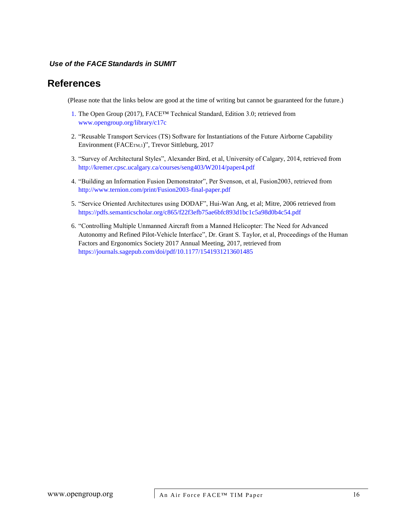### <span id="page-15-0"></span>**References**

(Please note that the links below are good at the time of writing but cannot be guaranteed for the future.)

- 1. The Open Group (2017), FACE™ Technical Standard, Edition 3.0; retrieved from [www.opengroup.org/library/c17c](http://www.opengroup.org/library/c17c)
- 2. "Reusable Transport Services (TS) Software for Instantiations of the Future Airborne Capability Environment (FACETM,1)", Trevor Sittleburg, 2017
- 3. "Survey of Architectural Styles", Alexander Bird, et al, University of Calgary, 2014, retrieved from <http://kremer.cpsc.ucalgary.ca/courses/seng403/W2014/paper4.pdf>
- 4. "Building an Information Fusion Demonstrator", Per Svenson, et al, Fusion2003, retrieved from <http://www.ternion.com/print/Fusion2003-final-paper.pdf>
- 5. "Service Oriented Architectures using DODAF", Hui-Wan Ang, et al; Mitre, 2006 retrieved from <https://pdfs.semanticscholar.org/c865/f22f3efb75ae6bfc893d1bc1c5a98d0b4c54.pdf>
- 6. "Controlling Multiple Unmanned Aircraft from a Manned Helicopter: The Need for Advanced Autonomy and Refined Pilot-Vehicle Interface", Dr. Grant S. Taylor, et al, Proceedings of the Human Factors and Ergonomics Society 2017 Annual Meeting, 2017, retrieved from <https://journals.sagepub.com/doi/pdf/10.1177/1541931213601485>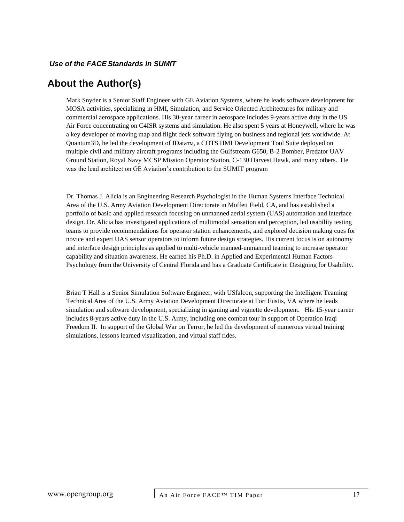### <span id="page-16-0"></span>**About the Author(s)**

Mark Snyder is a Senior Staff Engineer with GE Aviation Systems, where he leads software development for MOSA activities, specializing in HMI, Simulation, and Service Oriented Architectures for military and commercial aerospace applications. His 30-year career in aerospace includes 9-years active duty in the US Air Force concentrating on C4ISR systems and simulation. He also spent 5 years at Honeywell, where he was a key developer of moving map and flight deck software flying on business and regional jets worldwide. At Quantum3D, he led the development of IDataTM, a COTS HMI Development Tool Suite deployed on multiple civil and military aircraft programs including the Gulfstream G650, B-2 Bomber, Predator UAV Ground Station, Royal Navy MCSP Mission Operator Station, C-130 Harvest Hawk, and many others. He was the lead architect on GE Aviation's contribution to the SUMIT program

Dr. Thomas J. Alicia is an Engineering Research Psychologist in the Human Systems Interface Technical Area of the U.S. Army Aviation Development Directorate in Moffett Field, CA, and has established a portfolio of basic and applied research focusing on unmanned aerial system (UAS) automation and interface design. Dr. Alicia has investigated applications of multimodal sensation and perception, led usability testing teams to provide recommendations for operator station enhancements, and explored decision making cues for novice and expert UAS sensor operators to inform future design strategies. His current focus is on autonomy and interface design principles as applied to multi-vehicle manned-unmanned teaming to increase operator capability and situation awareness. He earned his Ph.D. in Applied and Experimental Human Factors Psychology from the University of Central Florida and has a Graduate Certificate in Designing for Usability.

Brian T Hall is a Senior Simulation Software Engineer, with USfalcon, supporting the Intelligent Teaming Technical Area of the U.S. Army Aviation Development Directorate at Fort Eustis, VA where he leads simulation and software development, specializing in gaming and vignette development. His 15-year career includes 8-years active duty in the U.S. Army, including one combat tour in support of Operation Iraqi Freedom II. In support of the Global War on Terror, he led the development of numerous virtual training simulations, lessons learned visualization, and virtual staff rides.